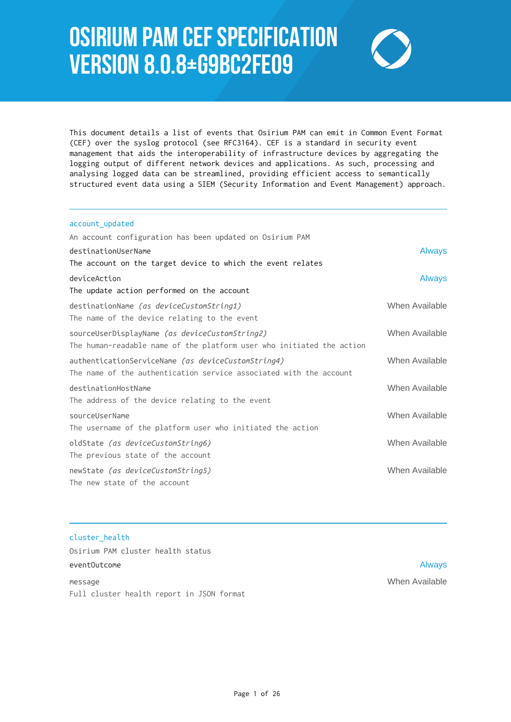# Osirium PAM CEF Specification Version 8.0.8+g9bc2fe09



This document details a list of events that Osirium PAM can emit in Common Event Format (CEF) over the syslog protocol (see RFC3164). CEF is a standard in security event management that aids the interoperability of infrastructure devices by aggregating the logging output of different network devices and applications. As such, processing and analysing logged data can be streamlined, providing efficient access to semantically structured event data using a SIEM (Security Information and Event Management) approach.

# account\_updated An account configuration has been updated on Osirium PAM destinationUserName Always and the control of the control of the control of the control of the control of the control of the control of the control of the control of the control of the control of the control of the control The account on the target device to which the event relates deviceAction **Always Always Always Always Always Always Always Always** The update action performed on the account destinationName (as deviceCustomString1) When Available The name of the device relating to the event sourceUserDisplayName (as deviceCustomString2) When Available The human-readable name of the platform user who initiated the action authenticationServiceName *(as deviceCustomString4)* When Available The name of the authentication service associated with the account destinationHostName When Available The address of the device relating to the event sourceUserName When Available The username of the platform user who initiated the action oldState *(as deviceCustomString6)* When Available The previous state of the account newState *(as deviceCustomString5)* When Available The new state of the account

# cluster\_health Osirium PAM cluster health status eventOutcome Always and the contract of the contract of the contract of the contract of the contract of the contract of the contract of the contract of the contract of the contract of the contract of the contract of the co message When Available

Full cluster health report in JSON format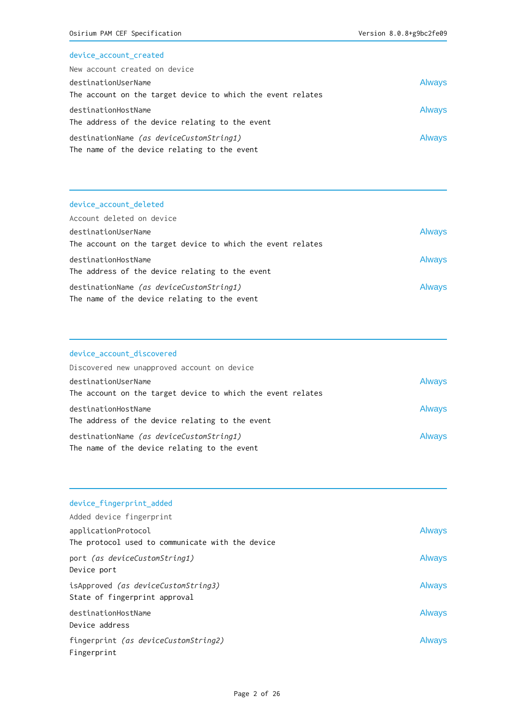## device\_account\_created

| New account created on device                               |               |
|-------------------------------------------------------------|---------------|
| destinationUserName                                         | <b>Always</b> |
| The account on the target device to which the event relates |               |
| destinationHostName                                         | <b>Always</b> |
| The address of the device relating to the event             |               |
| destinationName <i>(as deviceCustomString1)</i>             | <b>Always</b> |
| The name of the device relating to the event                |               |

## device\_account\_deleted

| Account deleted on device                                   |               |
|-------------------------------------------------------------|---------------|
| destinationUserName                                         | <b>Always</b> |
| The account on the target device to which the event relates |               |
| destinationHostName                                         | <b>Always</b> |
| The address of the device relating to the event             |               |
| destinationName (as deviceCustomString1)                    | <b>Always</b> |
| The name of the device relating to the event                |               |

## device\_account\_discovered

| Discovered new unapproved account on device                 |               |
|-------------------------------------------------------------|---------------|
| destinationUserName                                         | <b>Always</b> |
| The account on the target device to which the event relates |               |
| destinationHostName                                         | <b>Always</b> |
| The address of the device relating to the event             |               |
| destinationName (as deviceCustomString1)                    | <b>Always</b> |
| The name of the device relating to the event                |               |

| device fingerprint added                                                    |               |
|-----------------------------------------------------------------------------|---------------|
| Added device fingerprint                                                    |               |
| applicationProtocol<br>The protocol used to communicate with the device     | <b>Always</b> |
| port (as deviceCustomString1)<br>Device port                                | <b>Always</b> |
| isApproved <i>(as deviceCustomString3)</i><br>State of fingerprint approval | <b>Always</b> |
| destinationHostName<br>Device address                                       | <b>Always</b> |
| fingerprint (as deviceCustomString2)<br>Fingerprint                         | <b>Always</b> |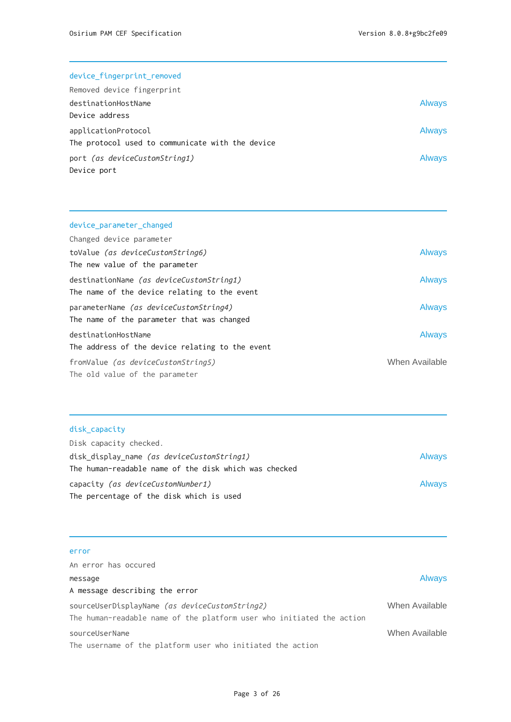#### device\_fingerprint\_removed

| Removed device fingerprint                       |               |
|--------------------------------------------------|---------------|
| destinationHostName                              | <b>Always</b> |
| Device address                                   |               |
| applicationProtocol                              | <b>Always</b> |
| The protocol used to communicate with the device |               |
| port (as deviceCustomString1)                    | <b>Always</b> |
| Device port                                      |               |

# device\_parameter\_changed Changed device parameter toValue (as deviceCustomString6) and the second second second second second second second second second second s The new value of the parameter destinationName (as deviceCustomString1) and always The name of the device relating to the event parameterName (as deviceCustomString4) and a series and always The name of the parameter that was changed destinationHostName **Always** The address of the device relating to the event fromValue *(as deviceCustomString5)* When Available The old value of the parameter

## disk\_capacity

| Disk capacity checked.                                |               |
|-------------------------------------------------------|---------------|
| disk_display_name <i>(as deviceCustomString1)</i>     | <b>Always</b> |
| The human-readable name of the disk which was checked |               |
| capacity <i>(as deviceCustomNumber1)</i>              | <b>Always</b> |
| The percentage of the disk which is used              |               |

## error

| An error has occured                                                  |                |
|-----------------------------------------------------------------------|----------------|
| message                                                               | <b>Always</b>  |
| A message describing the error                                        |                |
| sourceUserDisplayName <i>(as deviceCustomString2)</i>                 | When Available |
| The human-readable name of the platform user who initiated the action |                |
| sourceUserName                                                        | When Available |
| The username of the platform user who initiated the action            |                |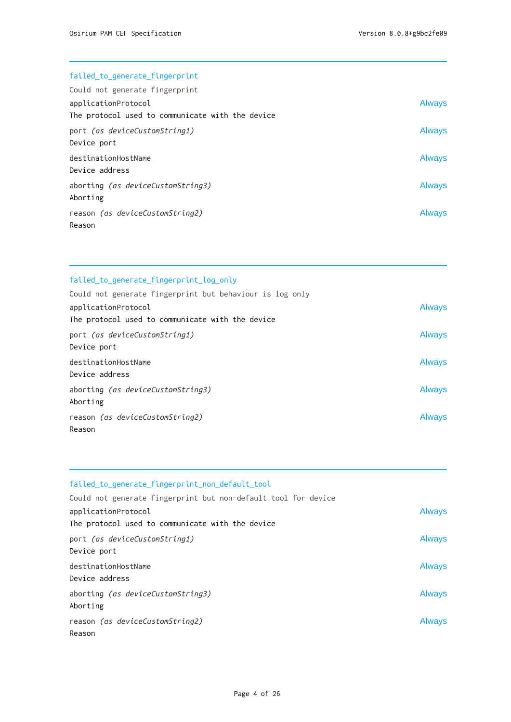## failed\_to\_generate\_fingerprint

| Could not generate fingerprint                                          |               |
|-------------------------------------------------------------------------|---------------|
| applicationProtocol<br>The protocol used to communicate with the device | <b>Always</b> |
| port (as deviceCustomString1)<br>Device port                            | <b>Always</b> |
| destinationHostName<br>Device address                                   | <b>Always</b> |
| aborting <i>(as deviceCustomString3)</i><br>Aborting                    | <b>Always</b> |
| reason (as deviceCustomString2)<br>Reason                               | <b>Always</b> |

| failed to generate fingerprint log only                  |               |
|----------------------------------------------------------|---------------|
| Could not generate fingerprint but behaviour is log only |               |
| applicationProtocol                                      | <b>Always</b> |
| The protocol used to communicate with the device         |               |
| port (as deviceCustomString1)                            | <b>Always</b> |
| Device port                                              |               |
| destinationHostName                                      | <b>Always</b> |
| Device address                                           |               |
| aborting <i>(as deviceCustomString3)</i>                 | <b>Always</b> |
| Aborting                                                 |               |
| reason (as deviceCustomString2)                          | <b>Always</b> |
| Reason                                                   |               |

| failed to generate fingerprint non default tool                         |               |
|-------------------------------------------------------------------------|---------------|
| Could not generate fingerprint but non-default tool for device          |               |
| applicationProtocol<br>The protocol used to communicate with the device | <b>Always</b> |
| port (as deviceCustomString1)<br>Device port                            | <b>Always</b> |
| destinationHostName<br>Device address                                   | <b>Always</b> |
| aborting (as deviceCustomString3)<br>Aborting                           | <b>Always</b> |
| reason (as deviceCustomString2)<br>Reason                               | <b>Always</b> |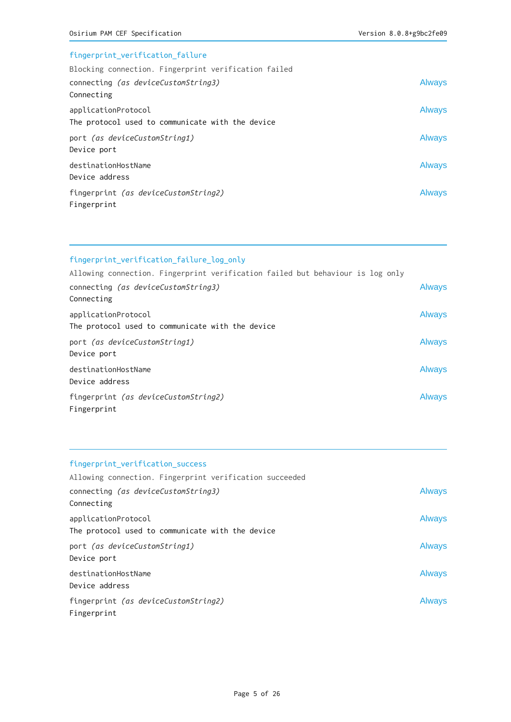## fingerprint\_verification\_failure

| Blocking connection. Fingerprint verification failed |               |
|------------------------------------------------------|---------------|
| connecting (as deviceCustomString3)                  | <b>Always</b> |
| Connecting                                           |               |
| applicationProtocol                                  | <b>Always</b> |
| The protocol used to communicate with the device     |               |
| port (as deviceCustomString1)                        | <b>Always</b> |
| Device port                                          |               |
| destinationHostName                                  | <b>Always</b> |
| Device address                                       |               |
| fingerprint (as deviceCustomString2)                 | Always        |
| Fingerprint                                          |               |

# fingerprint\_verification\_failure\_log\_only

| Allowing connection. Fingerprint verification failed but behaviour is log only |               |
|--------------------------------------------------------------------------------|---------------|
| connecting (as deviceCustomString3)                                            | <b>Always</b> |
| Connecting                                                                     |               |
| applicationProtocol<br>The protocol used to communicate with the device        | <b>Always</b> |
| port (as deviceCustomString1)<br>Device port                                   | <b>Always</b> |
| destinationHostName<br>Device address                                          | <b>Always</b> |
| fingerprint <i>(as deviceCustomString2)</i><br>Fingerprint                     | <b>Always</b> |

## fingerprint\_verification\_success

| Allowing connection. Fingerprint verification succeeded |               |
|---------------------------------------------------------|---------------|
| connecting (as deviceCustomString3)                     | <b>Always</b> |
| Connecting                                              |               |
| applicationProtocol                                     | <b>Always</b> |
| The protocol used to communicate with the device        |               |
| port (as deviceCustomString1)                           | <b>Always</b> |
| Device port                                             |               |
| destinationHostName                                     | <b>Always</b> |
| Device address                                          |               |
| fingerprint (as deviceCustomString2)                    | <b>Always</b> |
| Fingerprint                                             |               |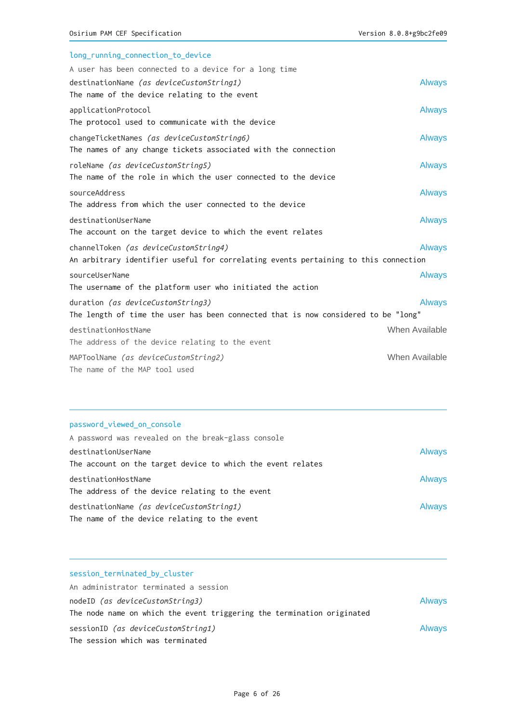| long_running_connection_to_device                                                   |                |
|-------------------------------------------------------------------------------------|----------------|
| A user has been connected to a device for a long time                               |                |
| destinationName (as deviceCustomString1)                                            | <b>Always</b>  |
| The name of the device relating to the event                                        |                |
| applicationProtocol                                                                 | <b>Always</b>  |
| The protocol used to communicate with the device                                    |                |
| changeTicketNames (as deviceCustomString6)                                          | <b>Always</b>  |
| The names of any change tickets associated with the connection                      |                |
| roleName (as deviceCustomString5)                                                   | <b>Always</b>  |
| The name of the role in which the user connected to the device                      |                |
| sourceAddress                                                                       | <b>Always</b>  |
| The address from which the user connected to the device                             |                |
| destinationUserName                                                                 | <b>Always</b>  |
| The account on the target device to which the event relates                         |                |
| channelToken (as deviceCustomString4)                                               | <b>Always</b>  |
| An arbitrary identifier useful for correlating events pertaining to this connection |                |
| sourceUserName                                                                      | <b>Always</b>  |
| The username of the platform user who initiated the action                          |                |
| duration (as deviceCustomString3)                                                   | <b>Always</b>  |
| The length of time the user has been connected that is now considered to be "long"  |                |
| destinationHostName                                                                 | When Available |
| The address of the device relating to the event                                     |                |
| MAPToolName (as deviceCustomString2)                                                | When Available |
| The name of the MAP tool used                                                       |                |

## password\_viewed\_on\_console

| A password was revealed on the break-glass console          |               |
|-------------------------------------------------------------|---------------|
| destinationUserName                                         | <b>Always</b> |
| The account on the target device to which the event relates |               |
| destinationHostName                                         | <b>Always</b> |
| The address of the device relating to the event             |               |
| destinationName (as deviceCustomString1)                    | <b>Always</b> |
| The name of the device relating to the event                |               |

| session_terminated_by_cluster                                          |               |
|------------------------------------------------------------------------|---------------|
| An administrator terminated a session                                  |               |
| nodeID (as deviceCustomString3)                                        | <b>Always</b> |
| The node name on which the event triggering the termination originated |               |
| sessionID (as deviceCustomString1)                                     | <b>Always</b> |
| The session which was terminated                                       |               |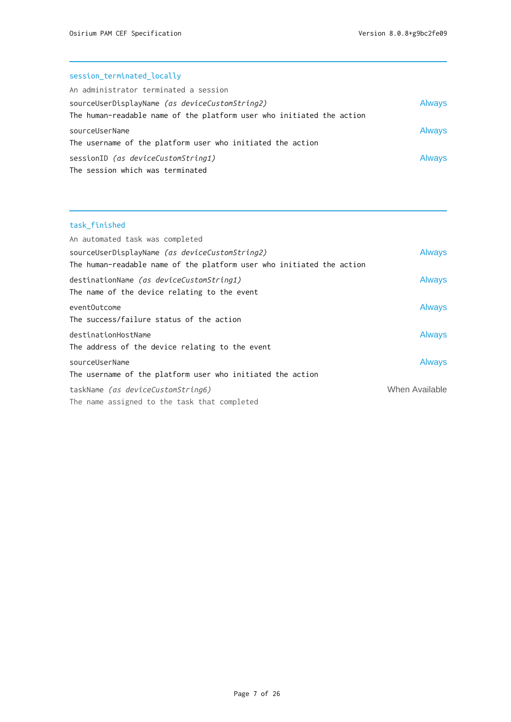## session\_terminated\_locally

| An administrator terminated a session                                                                                   |               |
|-------------------------------------------------------------------------------------------------------------------------|---------------|
| sourceUserDisplayName (as deviceCustomString2)<br>The human-readable name of the platform user who initiated the action | <b>Always</b> |
| sourceUserName<br>The username of the platform user who initiated the action                                            | <b>Always</b> |
| sessionID (as deviceCustomString1)<br>The session which was terminated                                                  | <b>Always</b> |

## task\_finished

| An automated task was completed                                       |                |
|-----------------------------------------------------------------------|----------------|
| sourceUserDisplayName (as deviceCustomString2)                        | <b>Always</b>  |
| The human-readable name of the platform user who initiated the action |                |
| destinationName (as deviceCustomString1)                              | <b>Always</b>  |
| The name of the device relating to the event                          |                |
| eventOutcome                                                          | <b>Always</b>  |
| The success/failure status of the action                              |                |
| destinationHostName                                                   | <b>Always</b>  |
| The address of the device relating to the event                       |                |
| sourceUserName                                                        | <b>Always</b>  |
| The username of the platform user who initiated the action            |                |
| taskName (as deviceCustomString6)                                     | When Available |
| The name assigned to the task that completed                          |                |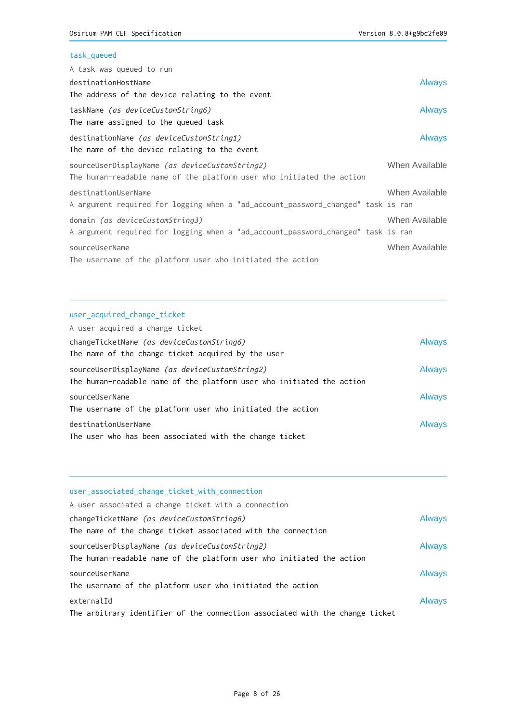## task\_queued

| A task was queued to run                                                                                                |                |
|-------------------------------------------------------------------------------------------------------------------------|----------------|
| destinationHostName                                                                                                     | <b>Always</b>  |
| The address of the device relating to the event                                                                         |                |
| taskName (as deviceCustomString6)<br>The name assigned to the queued task                                               | <b>Always</b>  |
| destinationName (as deviceCustomString1)<br>The name of the device relating to the event                                | <b>Always</b>  |
| sourceUserDisplayName (as deviceCustomString2)<br>The human-readable name of the platform user who initiated the action | When Available |
| destinationUserName<br>A argument required for logging when a "ad_account_password_changed" task is ran                 | When Available |
| domain (as deviceCustomString3)<br>A argument required for logging when a "ad_account_password_changed" task is ran     | When Available |
| sourceUserName<br>The username of the platform user who initiated the action                                            | When Available |

#### user\_acquired\_change\_ticket

| A user acquired a change ticket                                                                                         |               |
|-------------------------------------------------------------------------------------------------------------------------|---------------|
| changeTicketName (as deviceCustomString6)                                                                               | <b>Always</b> |
| The name of the change ticket acquired by the user                                                                      |               |
| sourceUserDisplayName (as deviceCustomString2)<br>The human-readable name of the platform user who initiated the action | <b>Always</b> |
| sourceUserName<br>The username of the platform user who initiated the action                                            | <b>Always</b> |
| destinationUserName<br>The user who has been associated with the change ticket                                          | <b>Always</b> |

| user_associated_change_ticket_with_connection                                                                           |               |
|-------------------------------------------------------------------------------------------------------------------------|---------------|
| A user associated a change ticket with a connection                                                                     |               |
| changeTicketName (as deviceCustomString6)                                                                               | <b>Always</b> |
| The name of the change ticket associated with the connection                                                            |               |
| sourceUserDisplayName (as deviceCustomString2)<br>The human-readable name of the platform user who initiated the action | <b>Always</b> |
| sourceUserName<br>The username of the platform user who initiated the action                                            | <b>Always</b> |
| externalId<br>The arbitrary identifier of the connection associated with the change ticket                              | <b>Always</b> |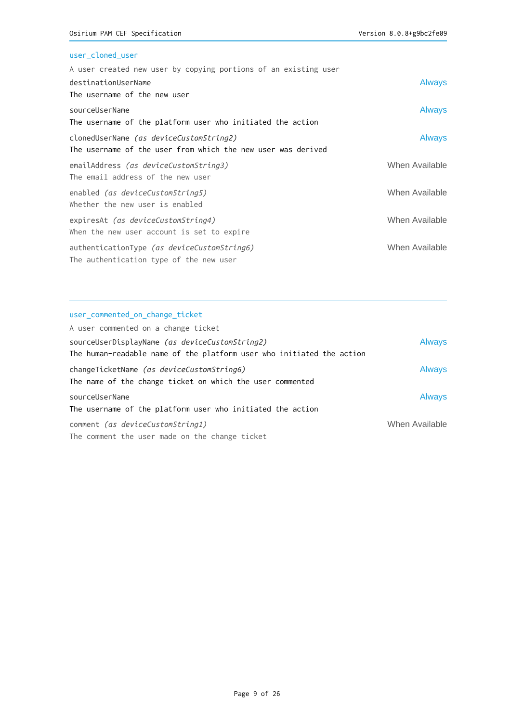## user\_cloned\_user

| A user created new user by copying portions of an existing user |                |
|-----------------------------------------------------------------|----------------|
| destinationUserName                                             | <b>Always</b>  |
| The username of the new user                                    |                |
| sourceUserName                                                  | <b>Always</b>  |
| The username of the platform user who initiated the action      |                |
| clonedUserName (as deviceCustomString2)                         | Always         |
| The username of the user from which the new user was derived    |                |
| emailAddress (as deviceCustomString3)                           | When Available |
| The email address of the new user                               |                |
| enabled (as deviceCustomString5)                                | When Available |
| Whether the new user is enabled                                 |                |
| expiresAt (as deviceCustomString4)                              | When Available |
| When the new user account is set to expire                      |                |
| authenticationType <i>(as deviceCustomString6)</i>              | When Available |
| The authentication type of the new user                         |                |
|                                                                 |                |

#### user\_commented\_on\_change\_ticket

| A user commented on a change ticket                                                                    |                |
|--------------------------------------------------------------------------------------------------------|----------------|
| sourceUserDisplayName (as deviceCustomString2)                                                         | <b>Always</b>  |
| The human-readable name of the platform user who initiated the action                                  |                |
| changeTicketName (as deviceCustomString6)<br>The name of the change ticket on which the user commented | <b>Always</b>  |
| sourceUserName                                                                                         | <b>Always</b>  |
| The username of the platform user who initiated the action                                             |                |
| comment (as deviceCustomString1)                                                                       | When Available |
| The comment the user made on the change ticket                                                         |                |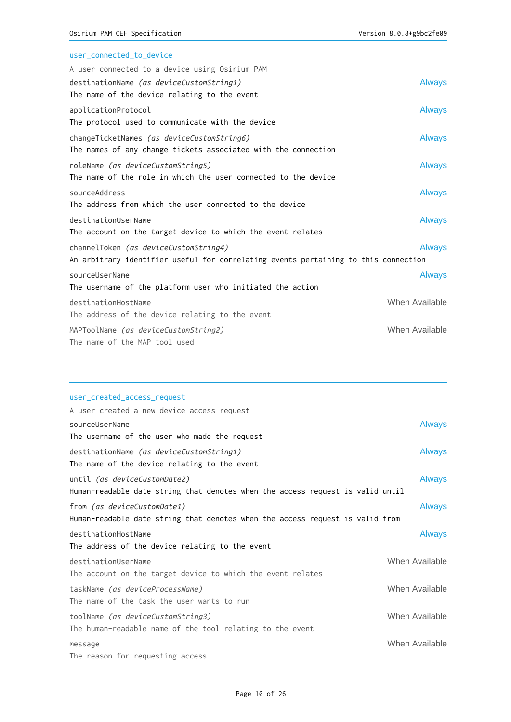| user_connected_to_device                                                            |                |
|-------------------------------------------------------------------------------------|----------------|
| A user connected to a device using Osirium PAM                                      |                |
| destinationName (as deviceCustomString1)                                            | <b>Always</b>  |
| The name of the device relating to the event                                        |                |
| applicationProtocol                                                                 | <b>Always</b>  |
| The protocol used to communicate with the device                                    |                |
| changeTicketNames (as deviceCustomString6)                                          | <b>Always</b>  |
| The names of any change tickets associated with the connection                      |                |
| roleName (as deviceCustomString5)                                                   | <b>Always</b>  |
| The name of the role in which the user connected to the device                      |                |
| sourceAddress                                                                       | <b>Always</b>  |
| The address from which the user connected to the device                             |                |
| destinationUserName                                                                 | <b>Always</b>  |
| The account on the target device to which the event relates                         |                |
| channelToken (as deviceCustomString4)                                               | <b>Always</b>  |
| An arbitrary identifier useful for correlating events pertaining to this connection |                |
| sourceUserName                                                                      | <b>Always</b>  |
| The username of the platform user who initiated the action                          |                |
| destinationHostName                                                                 | When Available |
| The address of the device relating to the event                                     |                |
| MAPToolName (as deviceCustomString2)                                                | When Available |
| The name of the MAP tool used                                                       |                |

#### user\_created\_access\_request

| A user created a new device access request                                                                            |               |
|-----------------------------------------------------------------------------------------------------------------------|---------------|
| sourceUserName                                                                                                        | <b>Always</b> |
| The username of the user who made the request                                                                         |               |
| destinationName (as deviceCustomString1)<br>The name of the device relating to the event                              | <b>Always</b> |
| until <i>(as deviceCustomDate2)</i><br>Human–readable date string that denotes when the access request is valid until | <b>Always</b> |
| from (as deviceCustomDate1)<br>Human-readable date string that denotes when the access request is valid from          | <b>Always</b> |
| destinationHostName<br>The address of the device relating to the event                                                | <b>Always</b> |
| When Available<br>destinationUserName<br>The account on the target device to which the event relates                  |               |
| When Available<br>taskName (as deviceProcessName)<br>The name of the task the user wants to run                       |               |
| When Available<br>toolName (as deviceCustomString3)<br>The human-readable name of the tool relating to the event      |               |
| When Available<br>message<br>The reason for requesting access                                                         |               |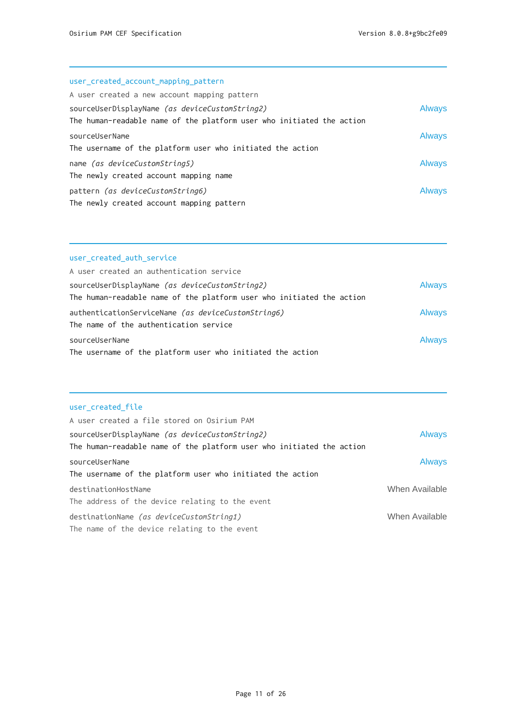# user\_created\_account\_mapping\_pattern

| A user created a new account mapping pattern                                  |               |
|-------------------------------------------------------------------------------|---------------|
| sourceUserDisplayName (as deviceCustomString2)                                | <b>Always</b> |
| The human-readable name of the platform user who initiated the action         |               |
| sourceUserName<br>The username of the platform user who initiated the action  | Always        |
| name (as deviceCustomString5)                                                 | <b>Always</b> |
| The newly created account mapping name                                        |               |
| pattern (as deviceCustomString6)<br>The newly created account mapping pattern | Always        |

#### user\_created\_auth\_service

| A user created an authentication service                                                                                |               |
|-------------------------------------------------------------------------------------------------------------------------|---------------|
| sourceUserDisplayName (as deviceCustomString2)<br>The human-readable name of the platform user who initiated the action | <b>Always</b> |
| authenticationServiceName (as deviceCustomString6)                                                                      | <b>Always</b> |
| The name of the authentication service                                                                                  |               |
| sourceUserName                                                                                                          | <b>Always</b> |
| The username of the platform user who initiated the action                                                              |               |

#### user\_created\_file

| A user created a file stored on Osirium PAM                                  |                |
|------------------------------------------------------------------------------|----------------|
| sourceUserDisplayName (as deviceCustomString2)                               | <b>Always</b>  |
| The human-readable name of the platform user who initiated the action        |                |
| sourceUserName<br>The username of the platform user who initiated the action | <b>Always</b>  |
| destinationHostName<br>The address of the device relating to the event       | When Available |
| destinationName (as deviceCustomString1)                                     | When Available |
| The name of the device relating to the event                                 |                |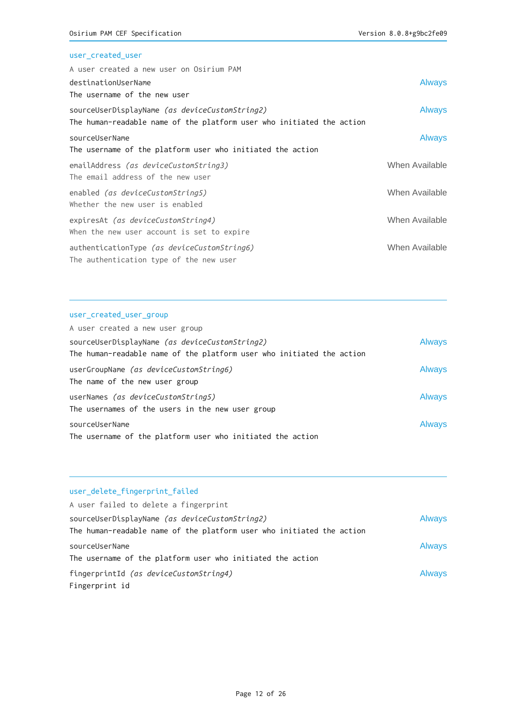## user\_created\_user

| <b>Always</b>  |
|----------------|
|                |
| <b>Always</b>  |
|                |
| <b>Always</b>  |
|                |
| When Available |
|                |
| When Available |
|                |
| When Available |
|                |
| When Available |
|                |
|                |

#### user\_created\_user\_group

| A user created a new user group                                       |               |
|-----------------------------------------------------------------------|---------------|
| sourceUserDisplayName (as deviceCustomString2)                        | <b>Always</b> |
| The human-readable name of the platform user who initiated the action |               |
| userGroupName (as deviceCustomString6)                                | <b>Always</b> |
| The name of the new user group                                        |               |
| userNames (as deviceCustomString5)                                    | <b>Always</b> |
| The usernames of the users in the new user group                      |               |
| sourceUserName                                                        | <b>Always</b> |
| The username of the platform user who initiated the action            |               |

#### user\_delete\_fingerprint\_failed

| A user failed to delete a fingerprint                                                                                   |               |
|-------------------------------------------------------------------------------------------------------------------------|---------------|
| sourceUserDisplayName (as deviceCustomString2)<br>The human-readable name of the platform user who initiated the action | <b>Always</b> |
| sourceUserName<br>The username of the platform user who initiated the action                                            | <b>Always</b> |
| fingerprintId <i>(as deviceCustomString4)</i><br>Fingerprint id                                                         | <b>Always</b> |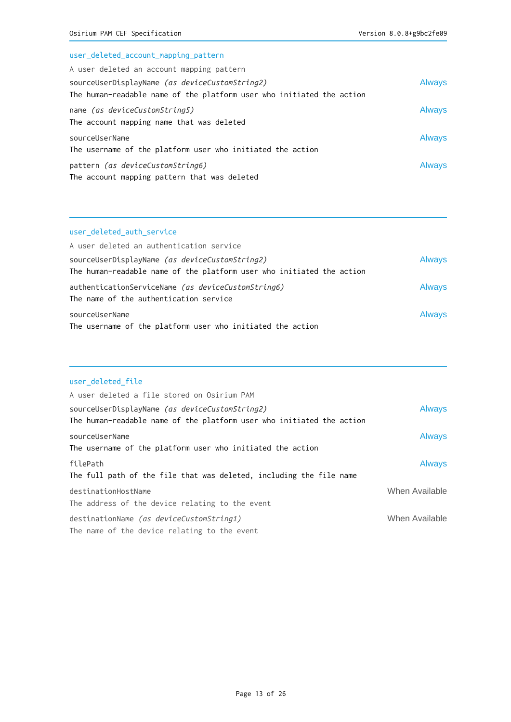# user\_deleted\_account\_mapping\_pattern A user deleted an account mapping pattern sourceUserDisplayName (as deviceCustomString2) and a series of the Always The human-readable name of the platform user who initiated the action name *(as deviceCustomString5)* Always The account mapping name that was deleted sourceUserName Always The username of the platform user who initiated the action pattern *(as deviceCustomString6)* Always The account mapping pattern that was deleted

#### user\_deleted\_auth\_service

| A user deleted an authentication service                                                                                |               |
|-------------------------------------------------------------------------------------------------------------------------|---------------|
| sourceUserDisplayName (as deviceCustomString2)<br>The human-readable name of the platform user who initiated the action | <b>Always</b> |
| authenticationServiceName (as deviceCustomString6)<br>The name of the authentication service                            | <b>Always</b> |
| sourceUserName<br>The username of the platform user who initiated the action                                            | <b>Always</b> |

#### user\_deleted\_file

| A user deleted a file stored on Osirium PAM                                              |                |
|------------------------------------------------------------------------------------------|----------------|
| sourceUserDisplayName (as deviceCustomString2)                                           | <b>Always</b>  |
| The human-readable name of the platform user who initiated the action                    |                |
| sourceUserName<br>The username of the platform user who initiated the action             | <b>Always</b>  |
| filePath<br>The full path of the file that was deleted, including the file name          | <b>Always</b>  |
| destinationHostName<br>The address of the device relating to the event                   | When Available |
| destinationName (as deviceCustomString1)<br>The name of the device relating to the event | When Available |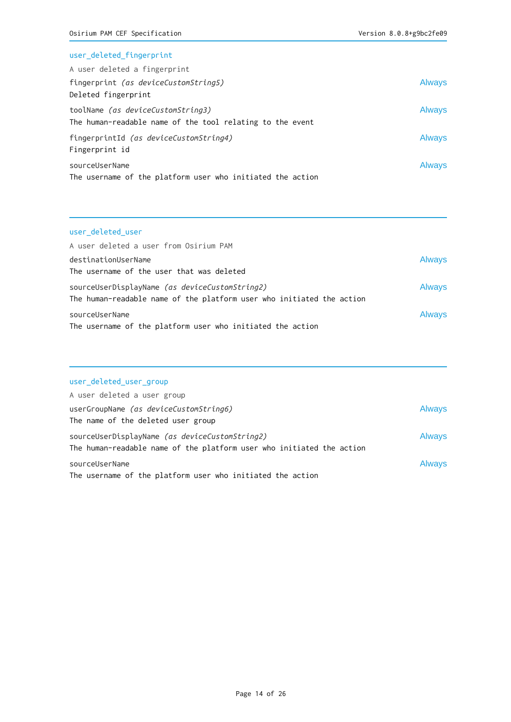#### user\_deleted\_fingerprint

| A user deleted a fingerprint                               |               |
|------------------------------------------------------------|---------------|
| fingerprint (as deviceCustomString5)                       | Always        |
| Deleted fingerprint                                        |               |
| toolName (as deviceCustomString3)                          | Always        |
| The human-readable name of the tool relating to the event  |               |
| fingerprintId (as deviceCustomString4)                     | Always        |
| Fingerprint id                                             |               |
| sourceUserName                                             | <b>Always</b> |
| The username of the platform user who initiated the action |               |

## user\_deleted\_user

| A user deleted a user from Osirium PAM                                |               |
|-----------------------------------------------------------------------|---------------|
| destinationUserName                                                   | <b>Always</b> |
| The username of the user that was deleted                             |               |
| sourceUserDisplayName (as deviceCustomString2)                        | <b>Always</b> |
| The human-readable name of the platform user who initiated the action |               |
| sourceUserName                                                        | <b>Always</b> |
| The username of the platform user who initiated the action            |               |

## user\_deleted\_user\_group

| A user deleted a user group                                           |               |
|-----------------------------------------------------------------------|---------------|
| userGroupName (as deviceCustomString6)                                | <b>Always</b> |
| The name of the deleted user group                                    |               |
| sourceUserDisplayName (as deviceCustomString2)                        | <b>Always</b> |
| The human-readable name of the platform user who initiated the action |               |
| sourceUserName                                                        | <b>Always</b> |
| The username of the platform user who initiated the action            |               |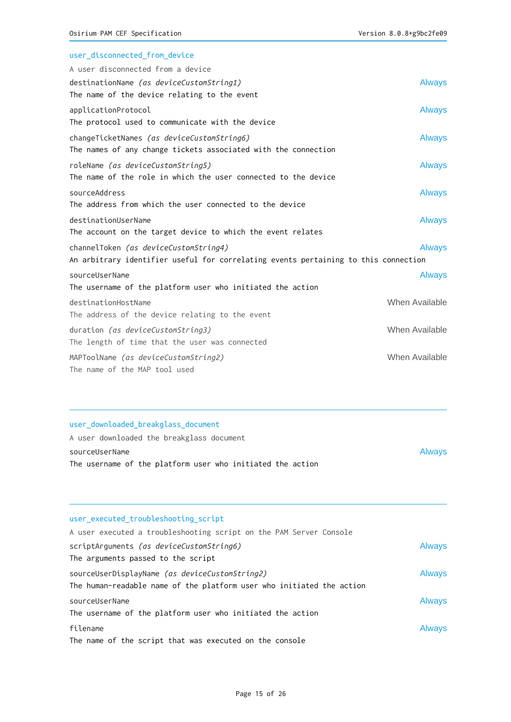| user disconnected from device                                                       |                |
|-------------------------------------------------------------------------------------|----------------|
| A user disconnected from a device                                                   |                |
| destinationName (as deviceCustomString1)                                            | <b>Always</b>  |
| The name of the device relating to the event                                        |                |
| applicationProtocol                                                                 | <b>Always</b>  |
| The protocol used to communicate with the device                                    |                |
| changeTicketNames (as deviceCustomString6)                                          | <b>Always</b>  |
| The names of any change tickets associated with the connection                      |                |
| roleName (as deviceCustomString5)                                                   | <b>Always</b>  |
| The name of the role in which the user connected to the device                      |                |
| sourceAddress                                                                       | <b>Always</b>  |
| The address from which the user connected to the device                             |                |
| destinationUserName                                                                 | <b>Always</b>  |
| The account on the target device to which the event relates                         |                |
| channelToken (as deviceCustomString4)                                               | <b>Always</b>  |
| An arbitrary identifier useful for correlating events pertaining to this connection |                |
| sourceUserName                                                                      | <b>Always</b>  |
| The username of the platform user who initiated the action                          |                |
| destinationHostName                                                                 | When Available |
| The address of the device relating to the event                                     |                |
| duration (as deviceCustomString3)                                                   | When Available |
| The length of time that the user was connected                                      |                |
| MAPToolName (as deviceCustomString2)                                                | When Available |
| The name of the MAP tool used                                                       |                |

## user\_downloaded\_breakglass\_document

| A user downloaded the breakglass document                  |               |
|------------------------------------------------------------|---------------|
| sourceUserName                                             | <b>Always</b> |
| The username of the platform user who initiated the action |               |

| user executed troubleshooting script                                  |               |
|-----------------------------------------------------------------------|---------------|
| A user executed a troubleshooting script on the PAM Server Console    |               |
| scriptArguments (as deviceCustomString6)                              | <b>Always</b> |
| The arguments passed to the script                                    |               |
| sourceUserDisplayName (as deviceCustomString2)                        | <b>Always</b> |
| The human-readable name of the platform user who initiated the action |               |
| sourceUserName                                                        | <b>Always</b> |
| The username of the platform user who initiated the action            |               |
| filename                                                              | <b>Always</b> |
| The name of the script that was executed on the console               |               |
|                                                                       |               |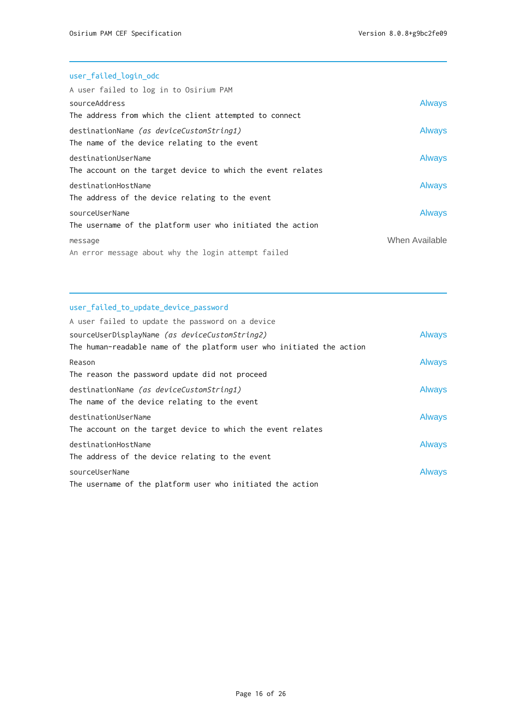| user_failed_login_odc                                                                    |                |
|------------------------------------------------------------------------------------------|----------------|
| A user failed to log in to Osirium PAM                                                   |                |
| sourceAddress                                                                            | <b>Always</b>  |
| The address from which the client attempted to connect                                   |                |
| destinationName (as deviceCustomString1)<br>The name of the device relating to the event | <b>Always</b>  |
|                                                                                          |                |
| destinationUserName                                                                      | <b>Always</b>  |
| The account on the target device to which the event relates                              |                |
| destinationHostName                                                                      | <b>Always</b>  |
| The address of the device relating to the event                                          |                |
| sourceUserName                                                                           | <b>Always</b>  |
| The username of the platform user who initiated the action                               |                |
| message                                                                                  | When Available |
| An error message about why the login attempt failed                                      |                |

# user\_failed\_to\_update\_device\_password

| A user failed to update the password on a device                      |               |
|-----------------------------------------------------------------------|---------------|
| sourceUserDisplayName (as deviceCustomString2)                        | <b>Always</b> |
| The human-readable name of the platform user who initiated the action |               |
| Reason                                                                | <b>Always</b> |
| The reason the password update did not proceed                        |               |
| destinationName (as deviceCustomString1)                              | Always        |
| The name of the device relating to the event                          |               |
| destinationUserName                                                   | <b>Always</b> |
| The account on the target device to which the event relates           |               |
| destinationHostName                                                   | <b>Always</b> |
| The address of the device relating to the event                       |               |
| sourceUserName                                                        | Always        |
| The username of the platform user who initiated the action            |               |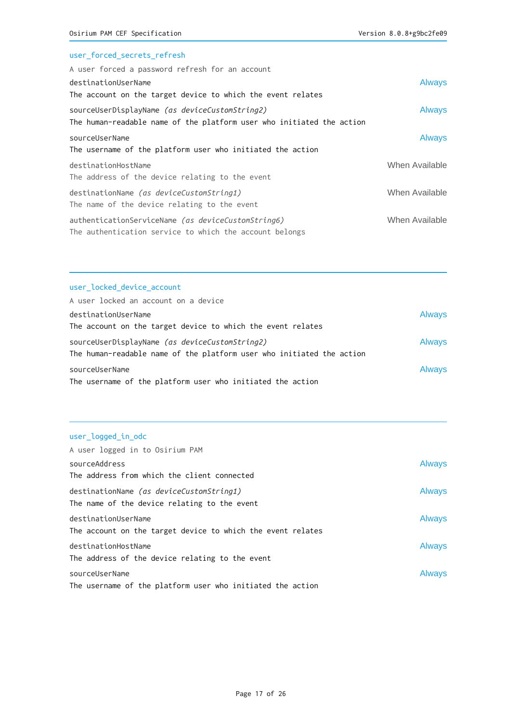## user\_forced\_secrets\_refresh

| A user forced a password refresh for an account                                                                         |                |
|-------------------------------------------------------------------------------------------------------------------------|----------------|
| destinationUserName                                                                                                     | <b>Always</b>  |
| The account on the target device to which the event relates                                                             |                |
| sourceUserDisplayName (as deviceCustomString2)<br>The human-readable name of the platform user who initiated the action | <b>Always</b>  |
| sourceUserName<br>The username of the platform user who initiated the action                                            | <b>Always</b>  |
| destinationHostName<br>The address of the device relating to the event                                                  | When Available |
| destinationName (as deviceCustomString1)<br>The name of the device relating to the event                                | When Available |
| authenticationServiceName (as deviceCustomString6)<br>The authentication service to which the account belongs           | When Available |

## user\_locked\_device\_account

| A user locked an account on a device                                  |               |
|-----------------------------------------------------------------------|---------------|
| destinationUserName                                                   | <b>Always</b> |
| The account on the target device to which the event relates           |               |
| sourceUserDisplayName (as deviceCustomString2)                        | <b>Always</b> |
| The human-readable name of the platform user who initiated the action |               |
| sourceUserName                                                        | <b>Always</b> |
| The username of the platform user who initiated the action            |               |

# user\_logged\_in\_odc

| A user logged in to Osirium PAM                             |               |
|-------------------------------------------------------------|---------------|
| sourceAddress                                               | <b>Always</b> |
| The address from which the client connected                 |               |
| destinationName (as deviceCustomString1)                    | <b>Always</b> |
| The name of the device relating to the event                |               |
| destinationUserName                                         | <b>Always</b> |
| The account on the target device to which the event relates |               |
| destinationHostName                                         | <b>Always</b> |
| The address of the device relating to the event             |               |
| sourceUserName                                              | <b>Always</b> |
| The username of the platform user who initiated the action  |               |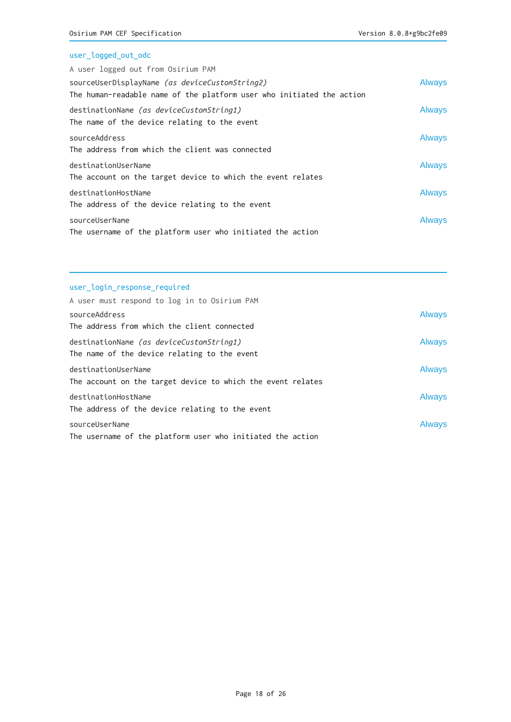| user_logged_out_odc                                                   |               |
|-----------------------------------------------------------------------|---------------|
| A user logged out from Osirium PAM                                    |               |
| sourceUserDisplayName (as deviceCustomString2)                        | <b>Always</b> |
| The human-readable name of the platform user who initiated the action |               |
| destinationName (as deviceCustomString1)                              | <b>Always</b> |
| The name of the device relating to the event                          |               |
| sourceAddress                                                         | Always        |
| The address from which the client was connected                       |               |
| destinationUserName                                                   | <b>Always</b> |
| The account on the target device to which the event relates           |               |
| destinationHostName                                                   | <b>Always</b> |
| The address of the device relating to the event                       |               |
| sourceUserName                                                        | Always        |
| The username of the platform user who initiated the action            |               |

## user\_login\_response\_required

| A user must respond to log in to Osirium PAM                |               |
|-------------------------------------------------------------|---------------|
| sourceAddress                                               | <b>Always</b> |
| The address from which the client connected                 |               |
| destinationName (as deviceCustomString1)                    | <b>Always</b> |
| The name of the device relating to the event                |               |
| destinationUserName                                         | <b>Always</b> |
| The account on the target device to which the event relates |               |
| destinationHostName                                         | <b>Always</b> |
| The address of the device relating to the event             |               |
| sourceUserName                                              | <b>Always</b> |
| The username of the platform user who initiated the action  |               |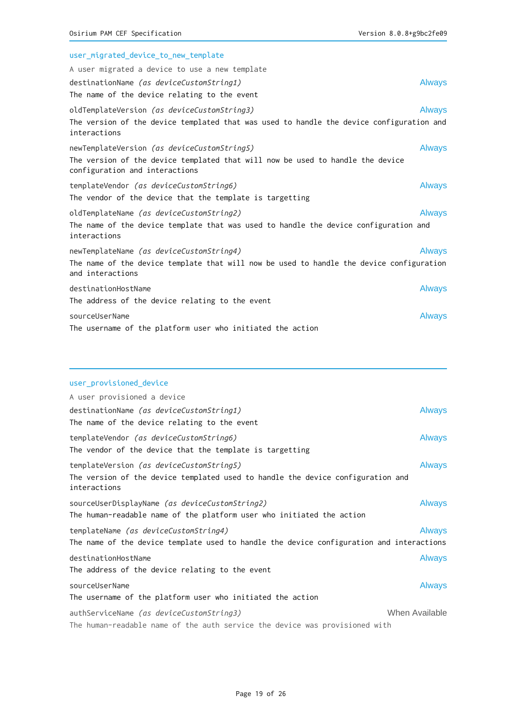| user_migrated_device_to_new_template                                                                             |               |
|------------------------------------------------------------------------------------------------------------------|---------------|
| A user migrated a device to use a new template                                                                   |               |
| destinationName (as deviceCustomString1)                                                                         | <b>Always</b> |
| The name of the device relating to the event                                                                     |               |
| oldTemplateVersion (as deviceCustomString3)                                                                      | <b>Always</b> |
| The version of the device templated that was used to handle the device configuration and<br>interactions         |               |
| newTemplateVersion (as deviceCustomString5)                                                                      | <b>Always</b> |
| The version of the device templated that will now be used to handle the device<br>configuration and interactions |               |
| templateVendor (as deviceCustomString6)                                                                          | <b>Always</b> |
| The vendor of the device that the template is targetting                                                         |               |
| oldTemplateName (as deviceCustomString2)                                                                         | <b>Always</b> |
| The name of the device template that was used to handle the device configuration and<br>interactions             |               |
| newTemplateName (as deviceCustomString4)                                                                         | <b>Always</b> |
| The name of the device template that will now be used to handle the device configuration<br>and interactions     |               |
| destinationHostName                                                                                              | <b>Always</b> |
| The address of the device relating to the event                                                                  |               |
| sourceUserName                                                                                                   | <b>Always</b> |
| The username of the platform user who initiated the action                                                       |               |

## user\_provisioned\_device

| A user provisioned a device                                                                                                                 |                |
|---------------------------------------------------------------------------------------------------------------------------------------------|----------------|
| destinationName (as deviceCustomString1)<br>The name of the device relating to the event                                                    | <b>Always</b>  |
| templateVendor <i>(as deviceCustomString6)</i><br>The vendor of the device that the template is targetting                                  | <b>Always</b>  |
| templateVersion (as deviceCustomString5)<br>The version of the device templated used to handle the device configuration and<br>interactions | <b>Always</b>  |
| sourceUserDisplayName <i>(as deviceCustomString2)</i><br>The human-readable name of the platform user who initiated the action              | <b>Always</b>  |
| templateName (as deviceCustomString4)<br>The name of the device template used to handle the device configuration and interactions           | <b>Always</b>  |
| destinationHostName<br>The address of the device relating to the event                                                                      | <b>Always</b>  |
| sourceUserName<br>The username of the platform user who initiated the action                                                                | <b>Always</b>  |
| authServiceName (as deviceCustomString3)<br>The human-readable name of the auth service the device was provisioned with                     | When Available |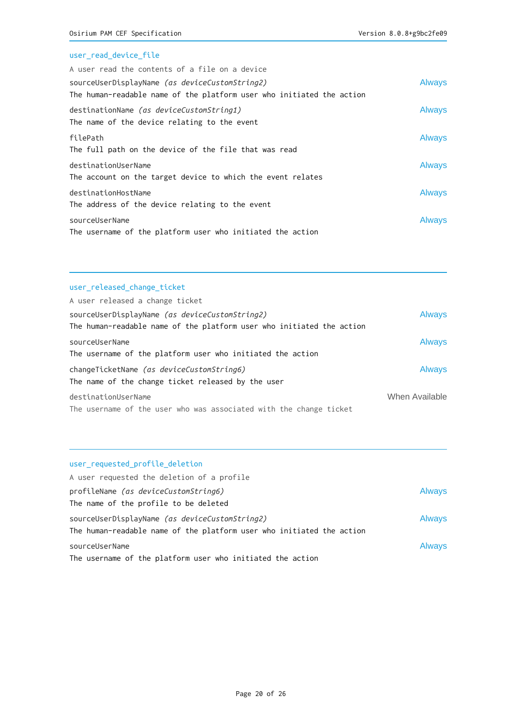## user\_read\_device\_file

| A user read the contents of a file on a device                        |               |
|-----------------------------------------------------------------------|---------------|
| sourceUserDisplayName (as deviceCustomString2)                        | <b>Always</b> |
| The human-readable name of the platform user who initiated the action |               |
| destinationName (as deviceCustomString1)                              | <b>Always</b> |
| The name of the device relating to the event                          |               |
| filePath                                                              | <b>Always</b> |
| The full path on the device of the file that was read                 |               |
| destinationUserName                                                   | <b>Always</b> |
| The account on the target device to which the event relates           |               |
| destinationHostName                                                   | <b>Always</b> |
| The address of the device relating to the event                       |               |
| sourceUserName                                                        | <b>Always</b> |
| The username of the platform user who initiated the action            |               |

## user\_released\_change\_ticket

| A user released a change ticket                                       |                |
|-----------------------------------------------------------------------|----------------|
| sourceUserDisplayName (as deviceCustomString2)                        | <b>Always</b>  |
| The human-readable name of the platform user who initiated the action |                |
| sourceUserName                                                        | <b>Always</b>  |
| The username of the platform user who initiated the action            |                |
| changeTicketName (as deviceCustomString6)                             | <b>Always</b>  |
| The name of the change ticket released by the user                    |                |
| destinationUserName                                                   | When Available |
| The username of the user who was associated with the change ticket    |                |

## user\_requested\_profile\_deletion

| A user requested the deletion of a profile                            |               |
|-----------------------------------------------------------------------|---------------|
| profileName (as deviceCustomString6)                                  | <b>Always</b> |
| The name of the profile to be deleted                                 |               |
| sourceUserDisplayName (as deviceCustomString2)                        | <b>Always</b> |
| The human-readable name of the platform user who initiated the action |               |
| sourceUserName                                                        | <b>Always</b> |
| The username of the platform user who initiated the action            |               |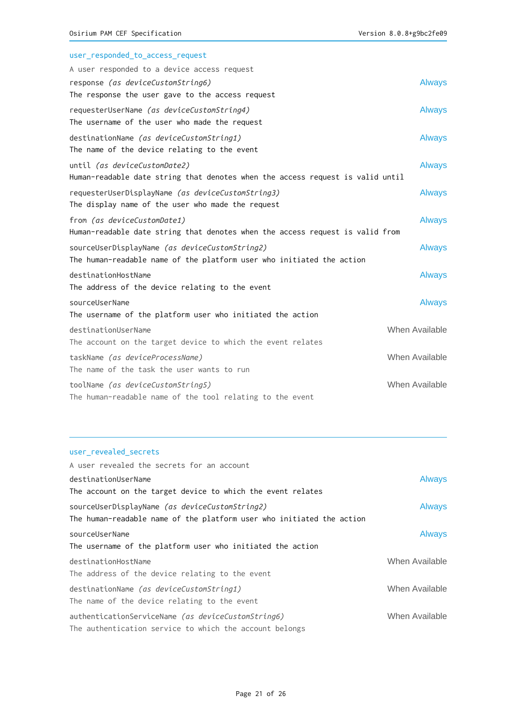| user_responded_to_access_request                                               |                |
|--------------------------------------------------------------------------------|----------------|
| A user responded to a device access request                                    |                |
| response (as deviceCustomString6)                                              | <b>Always</b>  |
| The response the user gave to the access request                               |                |
| requesterUserName (as deviceCustomString4)                                     | <b>Always</b>  |
| The username of the user who made the request                                  |                |
| destinationName (as deviceCustomString1)                                       | <b>Always</b>  |
| The name of the device relating to the event                                   |                |
| until (as deviceCustomDate2)                                                   | <b>Always</b>  |
| Human-readable date string that denotes when the access request is valid until |                |
| requesterUserDisplayName (as deviceCustomString3)                              | <b>Always</b>  |
| The display name of the user who made the request                              |                |
| from (as deviceCustomDate1)                                                    | <b>Always</b>  |
| Human-readable date string that denotes when the access request is valid from  |                |
| sourceUserDisplayName (as deviceCustomString2)                                 | <b>Always</b>  |
| The human-readable name of the platform user who initiated the action          |                |
| destinationHostName                                                            | <b>Always</b>  |
| The address of the device relating to the event                                |                |
| sourceUserName                                                                 | <b>Always</b>  |
| The username of the platform user who initiated the action                     |                |
| destinationUserName                                                            | When Available |
| The account on the target device to which the event relates                    |                |
| taskName (as deviceProcessName)                                                | When Available |
| The name of the task the user wants to run                                     |                |
| toolName (as deviceCustomString5)                                              | When Available |
| The human-readable name of the tool relating to the event                      |                |

## user\_revealed\_secrets

| A user revealed the secrets for an account                            |                |
|-----------------------------------------------------------------------|----------------|
| destinationUserName                                                   | <b>Always</b>  |
| The account on the target device to which the event relates           |                |
| sourceUserDisplayName (as deviceCustomString2)                        | <b>Always</b>  |
| The human-readable name of the platform user who initiated the action |                |
| sourceUserName                                                        | <b>Always</b>  |
| The username of the platform user who initiated the action            |                |
| destinationHostName                                                   | When Available |
| The address of the device relating to the event                       |                |
| destinationName (as deviceCustomString1)                              | When Available |
| The name of the device relating to the event                          |                |
| authenticationServiceName (as deviceCustomString6)                    | When Available |
| The authentication service to which the account belongs               |                |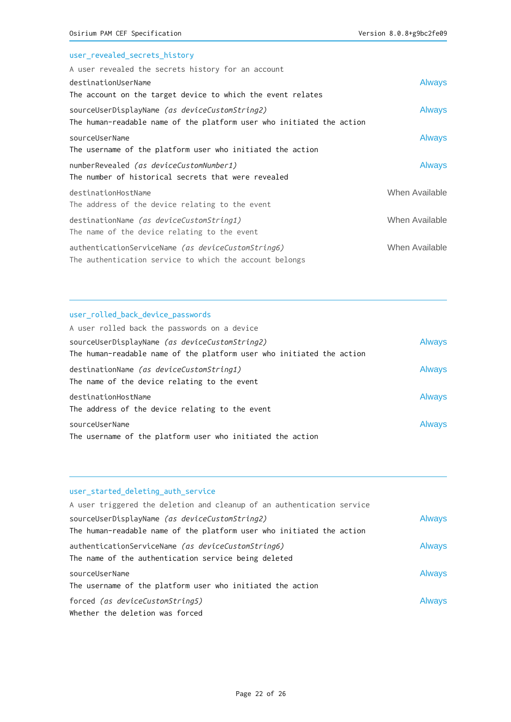## user\_revealed\_secrets\_history

| A user revealed the secrets history for an account                                                                      |                |
|-------------------------------------------------------------------------------------------------------------------------|----------------|
| destinationUserName                                                                                                     | <b>Always</b>  |
| The account on the target device to which the event relates                                                             |                |
| sourceUserDisplayName (as deviceCustomString2)<br>The human-readable name of the platform user who initiated the action | <b>Always</b>  |
| sourceUserName<br>The username of the platform user who initiated the action                                            | <b>Always</b>  |
| numberRevealed (as deviceCustomNumber1)<br>The number of historical secrets that were revealed                          | <b>Always</b>  |
| destinationHostName<br>The address of the device relating to the event                                                  | When Available |
| destinationName (as deviceCustomString1)<br>The name of the device relating to the event                                | When Available |
| authenticationServiceName (as deviceCustomString6)<br>The authentication service to which the account belongs           | When Available |

#### user\_rolled\_back\_device\_passwords

| A user rolled back the passwords on a device                                             |               |
|------------------------------------------------------------------------------------------|---------------|
| sourceUserDisplayName (as deviceCustomString2)                                           | <b>Always</b> |
| The human-readable name of the platform user who initiated the action                    |               |
| destinationName (as deviceCustomString1)<br>The name of the device relating to the event | <b>Always</b> |
| destinationHostName                                                                      | <b>Always</b> |
| The address of the device relating to the event                                          |               |
| sourceUserName                                                                           | <b>Always</b> |
| The username of the platform user who initiated the action                               |               |

#### user\_started\_deleting\_auth\_service

| A user triggered the deletion and cleanup of an authentication service                                     |               |
|------------------------------------------------------------------------------------------------------------|---------------|
| sourceUserDisplayName (as deviceCustomString2)                                                             | <b>Always</b> |
| The human-readable name of the platform user who initiated the action                                      |               |
| authenticationServiceName (as deviceCustomString6)<br>The name of the authentication service being deleted | <b>Always</b> |
| sourceUserName<br>The username of the platform user who initiated the action                               | <b>Always</b> |
| forced (as deviceCustomString5)<br>Whether the deletion was forced                                         | <b>Always</b> |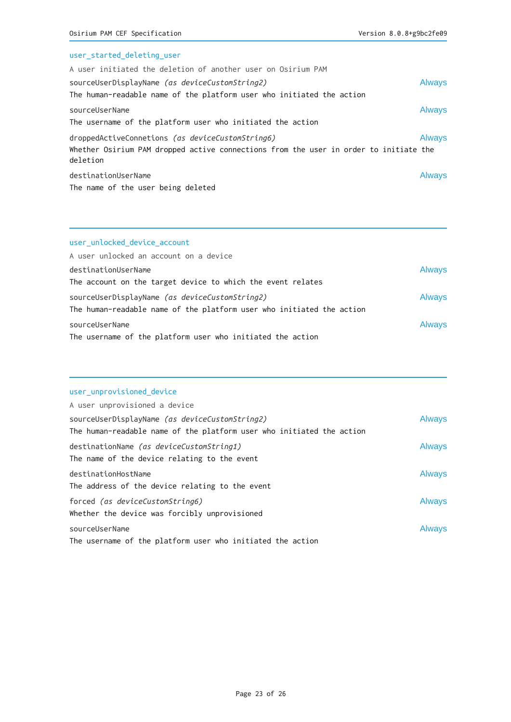## user\_started\_deleting\_user

| A user initiated the deletion of another user on Osirium PAM                                                                                          |               |
|-------------------------------------------------------------------------------------------------------------------------------------------------------|---------------|
| sourceUserDisplayName (as deviceCustomString2)                                                                                                        | <b>Always</b> |
| The human-readable name of the platform user who initiated the action                                                                                 |               |
| sourceUserName<br>The username of the platform user who initiated the action                                                                          | <b>Always</b> |
| droppedActiveConnetions (as deviceCustomString6)<br>Whether Osirium PAM dropped active connections from the user in order to initiate the<br>deletion | <b>Always</b> |
| destinationUserName<br>The name of the user being deleted                                                                                             | <b>Always</b> |

## user\_unlocked\_device\_account

| A user unlocked an account on a device                                |               |
|-----------------------------------------------------------------------|---------------|
| destinationUserName                                                   | <b>Always</b> |
| The account on the target device to which the event relates           |               |
| sourceUserDisplayName (as deviceCustomString2)                        | <b>Always</b> |
| The human-readable name of the platform user who initiated the action |               |
| sourceUserName                                                        | <b>Always</b> |
| The username of the platform user who initiated the action            |               |

## user\_unprovisioned\_device

| A user unprovisioned a device                                         |               |
|-----------------------------------------------------------------------|---------------|
| sourceUserDisplayName <i>(as deviceCustomString2)</i>                 | <b>Always</b> |
| The human-readable name of the platform user who initiated the action |               |
| destinationName <i>(as deviceCustomString1)</i>                       | <b>Always</b> |
| The name of the device relating to the event                          |               |
| destinationHostName                                                   | <b>Always</b> |
| The address of the device relating to the event                       |               |
| forced (as deviceCustomString6)                                       | <b>Always</b> |
| Whether the device was forcibly unprovisioned                         |               |
| sourceUserName                                                        | <b>Always</b> |
| The username of the platform user who initiated the action            |               |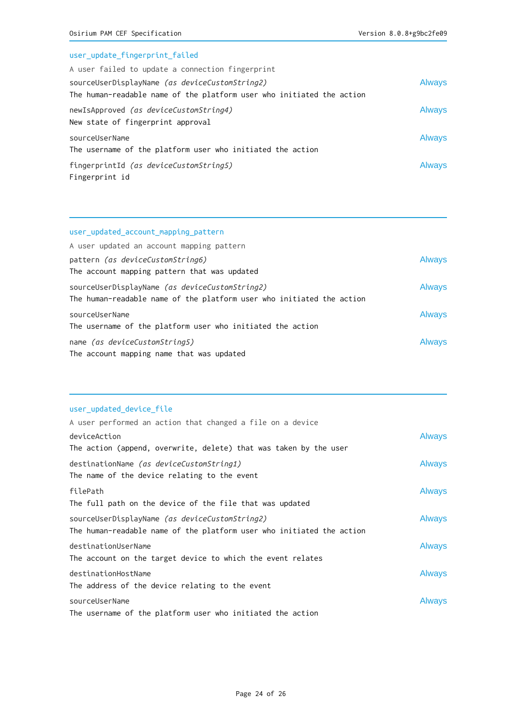| user_update_fingerprint_failed                                                                                          |               |
|-------------------------------------------------------------------------------------------------------------------------|---------------|
| A user failed to update a connection fingerprint                                                                        |               |
| sourceUserDisplayName (as deviceCustomString2)<br>The human-readable name of the platform user who initiated the action | <b>Always</b> |
| newIsApproved (as deviceCustomString4)<br>New state of fingerprint approval                                             | <b>Always</b> |
| sourceUserName<br>The username of the platform user who initiated the action                                            | <b>Always</b> |
| fingerprintId (as deviceCustomString5)<br>Fingerprint id                                                                | <b>Always</b> |

#### user\_updated\_account\_mapping\_pattern

| A user updated an account mapping pattern                             |               |
|-----------------------------------------------------------------------|---------------|
| pattern <i>(as deviceCustomString6)</i>                               | <b>Always</b> |
| The account mapping pattern that was updated                          |               |
| sourceUserDisplayName (as deviceCustomString2)                        | <b>Always</b> |
| The human-readable name of the platform user who initiated the action |               |
| sourceUserName                                                        | <b>Always</b> |
| The username of the platform user who initiated the action            |               |
| name (as deviceCustomString5)                                         | <b>Always</b> |
| The account mapping name that was updated                             |               |

## user\_updated\_device\_file

| A user performed an action that changed a file on a device            |               |
|-----------------------------------------------------------------------|---------------|
| deviceAction                                                          | <b>Always</b> |
| The action (append, overwrite, delete) that was taken by the user     |               |
| destinationName <i>(as deviceCustomString1)</i>                       | <b>Always</b> |
| The name of the device relating to the event                          |               |
| filePath                                                              | <b>Always</b> |
| The full path on the device of the file that was updated              |               |
| sourceUserDisplayName (as deviceCustomString2)                        | <b>Always</b> |
| The human-readable name of the platform user who initiated the action |               |
| destinationUserName                                                   | <b>Always</b> |
| The account on the target device to which the event relates           |               |
| destinationHostName                                                   | <b>Always</b> |
| The address of the device relating to the event                       |               |
| sourceUserName                                                        | <b>Always</b> |
| The username of the platform user who initiated the action            |               |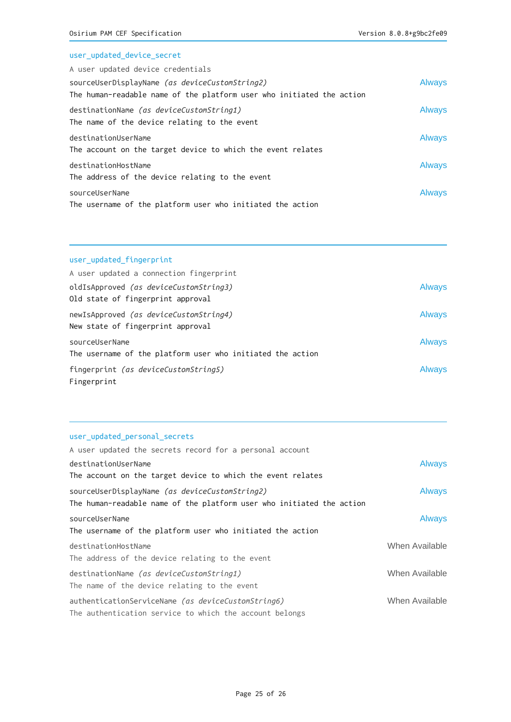## user\_updated\_device\_secret

| A user updated device credentials                                     |               |
|-----------------------------------------------------------------------|---------------|
| sourceUserDisplayName (as deviceCustomString2)                        | <b>Always</b> |
| The human-readable name of the platform user who initiated the action |               |
| destinationName (as deviceCustomString1)                              | Always        |
| The name of the device relating to the event                          |               |
| destinationUserName                                                   | <b>Always</b> |
| The account on the target device to which the event relates           |               |
| destinationHostName                                                   | <b>Always</b> |
| The address of the device relating to the event                       |               |
| sourceUserName                                                        | <b>Always</b> |
| The username of the platform user who initiated the action            |               |

# user\_updated\_fingerprint

| A user updated a connection fingerprint                                     |               |
|-----------------------------------------------------------------------------|---------------|
| oldIsApproved (as deviceCustomString3)                                      | <b>Always</b> |
| Old state of fingerprint approval                                           |               |
| newIsApproved (as deviceCustomString4)<br>New state of fingerprint approval | <b>Always</b> |
| sourceUserName                                                              | <b>Always</b> |
| The username of the platform user who initiated the action                  |               |
| fingerprint (as deviceCustomString5)<br>Fingerprint                         | <b>Always</b> |

#### user\_updated\_personal\_secrets

| A user updated the secrets record for a personal account              |                |
|-----------------------------------------------------------------------|----------------|
| destinationUserName                                                   | <b>Always</b>  |
| The account on the target device to which the event relates           |                |
| sourceUserDisplayName (as deviceCustomString2)                        | <b>Always</b>  |
| The human-readable name of the platform user who initiated the action |                |
| sourceUserName                                                        | <b>Always</b>  |
| The username of the platform user who initiated the action            |                |
| destinationHostName                                                   | When Available |
| The address of the device relating to the event                       |                |
| destinationName (as deviceCustomString1)                              | When Available |
| The name of the device relating to the event                          |                |
| authenticationServiceName (as deviceCustomString6)                    | When Available |
| The authentication service to which the account belongs               |                |